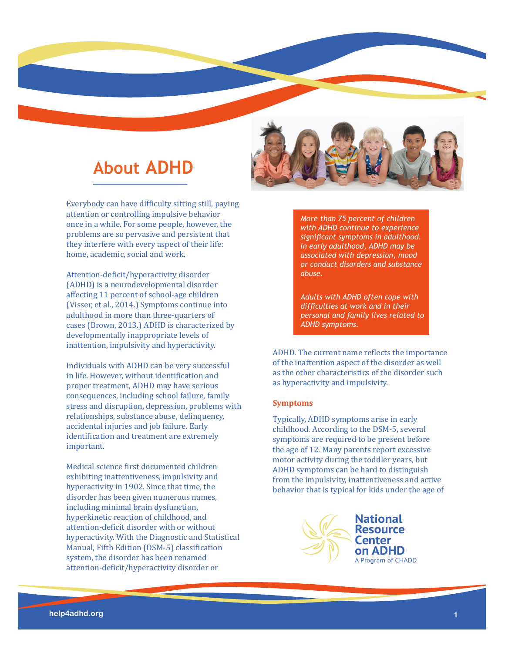# **About ADHD**

Everybody can have difficulty sitting still, paying attention or controlling impulsive behavior once in a while. For some people, however, the problems are so pervasive and persistent that they interfere with every aspect of their life: home, academic, social and work.

Attention-deficit/hyperactivity disorder (ADHD) is a neurodevelopmental disorder affecting 11 percent of school-age children (Visser, et al., 2014.) Symptoms continue into adulthood in more than three-quarters of cases (Brown, 2013.) ADHD is characterized by developmentally inappropriate levels of inattention, impulsivity and hyperactivity.

Individuals with ADHD can be very successful in life. However, without identification and proper treatment, ADHD may have serious consequences, including school failure, family stress and disruption, depression, problems with relationships, substance abuse, delinquency, accidental injuries and job failure. Early identification and treatment are extremely important.

Medical science first documented children exhibiting inattentiveness, impulsivity and hyperactivity in 1902. Since that time, the disorder has been given numerous names, including minimal brain dysfunction, hyperkinetic reaction of childhood, and attention-deficit disorder with or without hyperactivity. With the Diagnostic and Statistical Manual, Fifth Edition (DSM-5) classification system, the disorder has been renamed attention-deficit/hyperactivity disorder or



*More than 75 percent of children with ADHD continue to experience signifcant symptoms in adulthood. In early adulthood, ADHD may be associated with depression, mood or conduct disorders and substance abuse.*

*Adults with ADHD often cope with diffculties at work and in their personal and family lives related to ADHD symptoms.*

ADHD. The current name reflects the importance of the inattention aspect of the disorder as well as the other characteristics of the disorder such as hyperactivity and impulsivity.

# **Symptoms**

Typically, ADHD symptoms arise in early childhood. According to the DSM-5, several symptoms are required to be present before the age of 12. Many parents report excessive motor activity during the toddler years, but ADHD symptoms can be hard to distinguish from the impulsivity, inattentiveness and active behavior that is typical for kids under the age of

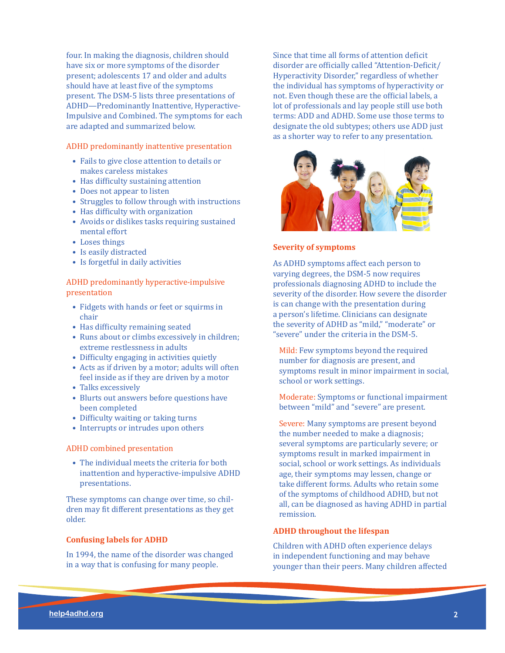four. In making the diagnosis, children should have six or more symptoms of the disorder present; adolescents 17 and older and adults should have at least five of the symptoms present. The DSM-5 lists three presentations of ADHD—Predominantly Inattentive, Hyperactive-Impulsive and Combined. The symptoms for each are adapted and summarized below.

# ADHD predominantly inattentive presentation

- Fails to give close attention to details or makes careless mistakes
- Has difficulty sustaining attention
- Does not appear to listen
- Struggles to follow through with instructions
- Has difficulty with organization
- Avoids or dislikes tasks requiring sustained mental effort
- Loses things
- Is easily distracted
- Is forgetful in daily activities

ADHD predominantly hyperactive-impulsive presentation

- Fidgets with hands or feet or squirms in chair
- Has difficulty remaining seated
- Runs about or climbs excessively in children; extreme restlessness in adults
- Difficulty engaging in activities quietly
- Acts as if driven by a motor; adults will often feel inside as if they are driven by a motor
- Talks excessively
- Blurts out answers before questions have been completed
- Difficulty waiting or taking turns
- Interrupts or intrudes upon others

# ADHD combined presentation

• The individual meets the criteria for both inattention and hyperactive-impulsive ADHD presentations.

These symptoms can change over time, so children may fit different presentations as they get older.

# **Confusing labels for ADHD**

In 1994, the name of the disorder was changed in a way that is confusing for many people.

Since that time all forms of attention deficit disorder are officially called "Attention-Deficit/ Hyperactivity Disorder," regardless of whether the individual has symptoms of hyperactivity or not. Even though these are the official labels, a lot of professionals and lay people still use both terms: ADD and ADHD. Some use those terms to designate the old subtypes; others use ADD just as a shorter way to refer to any presentation.



#### **Severity of symptoms**

As ADHD symptoms affect each person to varying degrees, the DSM-5 now requires professionals diagnosing ADHD to include the severity of the disorder. How severe the disorder is can change with the presentation during a person's lifetime. Clinicians can designate the severity of ADHD as "mild," "moderate" or "severe" under the criteria in the DSM-5.

Mild: Few symptoms beyond the required number for diagnosis are present, and symptoms result in minor impairment in social, school or work settings.

Moderate: Symptoms or functional impairment between "mild" and "severe" are present.

Severe: Many symptoms are present beyond the number needed to make a diagnosis; several symptoms are particularly severe; or symptoms result in marked impairment in social, school or work settings. As individuals age, their symptoms may lessen, change or take different forms. Adults who retain some of the symptoms of childhood ADHD, but not all, can be diagnosed as having ADHD in partial remission.

# **ADHD throughout the lifespan**

Children with ADHD often experience delays in independent functioning and may behave younger than their peers. Many children affected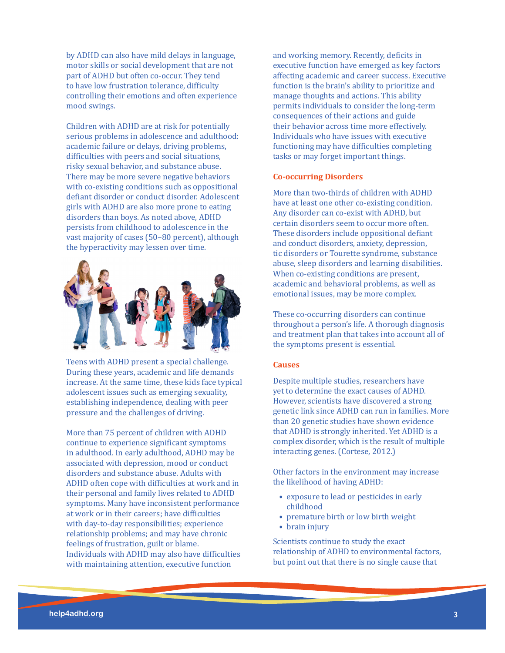by ADHD can also have mild delays in language, motor skills or social development that are not part of ADHD but often co-occur. They tend to have low frustration tolerance, difficulty controlling their emotions and often experience mood swings.

Children with ADHD are at risk for potentially serious problems in adolescence and adulthood: academic failure or delays, driving problems, difficulties with peers and social situations, risky sexual behavior, and substance abuse. There may be more severe negative behaviors with co-existing conditions such as oppositional defiant disorder or conduct disorder. Adolescent girls with ADHD are also more prone to eating disorders than boys. As noted above, ADHD persists from childhood to adolescence in the vast majority of cases (50–80 percent), although the hyperactivity may lessen over time.



Teens with ADHD present a special challenge. During these years, academic and life demands increase. At the same time, these kids face typical adolescent issues such as emerging sexuality, establishing independence, dealing with peer pressure and the challenges of driving.

More than 75 percent of children with ADHD continue to experience significant symptoms in adulthood. In early adulthood, ADHD may be associated with depression, mood or conduct disorders and substance abuse. Adults with ADHD often cope with difficulties at work and in their personal and family lives related to ADHD symptoms. Many have inconsistent performance at work or in their careers; have difficulties with day-to-day responsibilities; experience relationship problems; and may have chronic feelings of frustration, guilt or blame. Individuals with ADHD may also have difficulties with maintaining attention, executive function

and working memory. Recently, deficits in executive function have emerged as key factors affecting academic and career success. Executive function is the brain's ability to prioritize and manage thoughts and actions. This ability permits individuals to consider the long-term consequences of their actions and guide their behavior across time more effectively. Individuals who have issues with executive functioning may have difficulties completing tasks or may forget important things.

# **Co-occurring Disorders**

More than two-thirds of children with ADHD have at least one other co-existing condition. Any disorder can co-exist with ADHD, but certain disorders seem to occur more often. These disorders include oppositional defiant and conduct disorders, anxiety, depression, tic disorders or Tourette syndrome, substance abuse, sleep disorders and learning disabilities. When co-existing conditions are present, academic and behavioral problems, as well as emotional issues, may be more complex.

These co-occurring disorders can continue throughout a person's life. A thorough diagnosis and treatment plan that takes into account all of the symptoms present is essential.

#### **Causes**

Despite multiple studies, researchers have yet to determine the exact causes of ADHD. However, scientists have discovered a strong genetic link since ADHD can run in families. More than 20 genetic studies have shown evidence that ADHD is strongly inherited. Yet ADHD is a complex disorder, which is the result of multiple interacting genes. (Cortese, 2012.)

Other factors in the environment may increase the likelihood of having ADHD:

- exposure to lead or pesticides in early childhood
- premature birth or low birth weight
- brain injury

Scientists continue to study the exact relationship of ADHD to environmental factors, but point out that there is no single cause that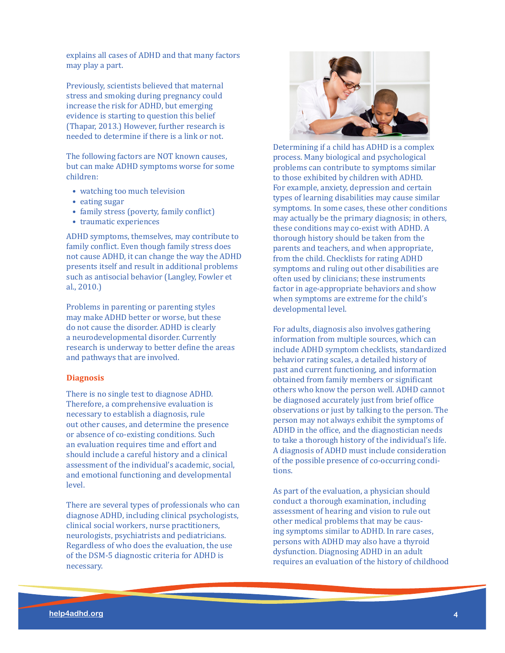explains all cases of ADHD and that many factors may play a part.

Previously, scientists believed that maternal stress and smoking during pregnancy could increase the risk for ADHD, but emerging evidence is starting to question this belief (Thapar, 2013.) However, further research is needed to determine if there is a link or not.

The following factors are NOT known causes, but can make ADHD symptoms worse for some children:

- watching too much television
- eating sugar
- family stress (poverty, family conflict)
- traumatic experiences

ADHD symptoms, themselves, may contribute to family conflict. Even though family stress does not cause ADHD, it can change the way the ADHD presents itself and result in additional problems such as antisocial behavior (Langley, Fowler et al., 2010.)

Problems in parenting or parenting styles may make ADHD better or worse, but these do not cause the disorder. ADHD is clearly a neurodevelopmental disorder. Currently research is underway to better define the areas and pathways that are involved.

## **Diagnosis**

There is no single test to diagnose ADHD. Therefore, a comprehensive evaluation is necessary to establish a diagnosis, rule out other causes, and determine the presence or absence of co-existing conditions. Such an evaluation requires time and effort and should include a careful history and a clinical assessment of the individual's academic, social, and emotional functioning and developmental level.

There are several types of professionals who can diagnose ADHD, including clinical psychologists, clinical social workers, nurse practitioners, neurologists, psychiatrists and pediatricians. Regardless of who does the evaluation, the use of the DSM-5 diagnostic criteria for ADHD is necessary.



Determining if a child has ADHD is a complex process. Many biological and psychological problems can contribute to symptoms similar to those exhibited by children with ADHD. For example, anxiety, depression and certain types of learning disabilities may cause similar symptoms. In some cases, these other conditions may actually be the primary diagnosis; in others, these conditions may co-exist with ADHD. A thorough history should be taken from the parents and teachers, and when appropriate, from the child. Checklists for rating ADHD symptoms and ruling out other disabilities are often used by clinicians; these instruments factor in age-appropriate behaviors and show when symptoms are extreme for the child's developmental level.

For adults, diagnosis also involves gathering information from multiple sources, which can include ADHD symptom checklists, standardized behavior rating scales, a detailed history of past and current functioning, and information obtained from family members or significant others who know the person well. ADHD cannot be diagnosed accurately just from brief office observations or just by talking to the person. The person may not always exhibit the symptoms of ADHD in the office, and the diagnostician needs to take a thorough history of the individual's life. A diagnosis of ADHD must include consideration of the possible presence of co-occurring conditions.

As part of the evaluation, a physician should conduct a thorough examination, including assessment of hearing and vision to rule out other medical problems that may be causing symptoms similar to ADHD. In rare cases, persons with ADHD may also have a thyroid dysfunction. Diagnosing ADHD in an adult requires an evaluation of the history of childhood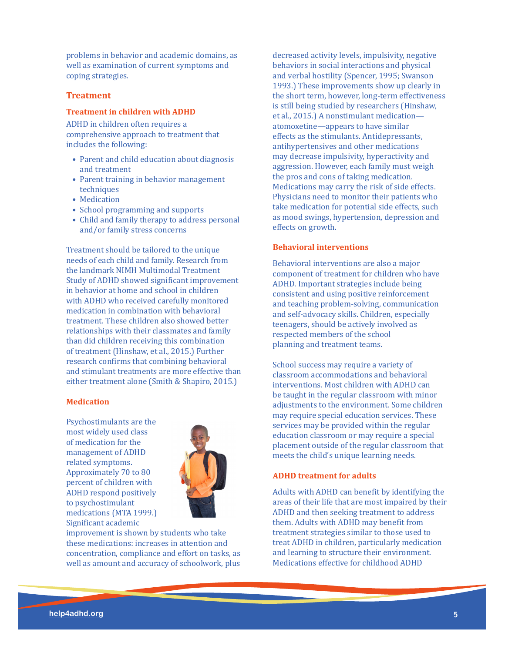problems in behavior and academic domains, as well as examination of current symptoms and coping strategies.

# **Treatment**

# **Treatment in children with ADHD**

ADHD in children often requires a comprehensive approach to treatment that includes the following:

- Parent and child education about diagnosis and treatment
- Parent training in behavior management techniques
- Medication
- School programming and supports
- Child and family therapy to address personal and/or family stress concerns

Treatment should be tailored to the unique needs of each child and family. Research from the landmark NIMH Multimodal Treatment Study of ADHD showed significant improvement in behavior at home and school in children with ADHD who received carefully monitored medication in combination with behavioral treatment. These children also showed better relationships with their classmates and family than did children receiving this combination of treatment (Hinshaw, et al., 2015.) Further research confirms that combining behavioral and stimulant treatments are more effective than either treatment alone (Smith & Shapiro, 2015.)

# **Medication**

Psychostimulants are the most widely used class of medication for the management of ADHD related symptoms. Approximately 70 to 80 percent of children with ADHD respond positively to psychostimulant medications (MTA 1999.) Significant academic



improvement is shown by students who take these medications: increases in attention and concentration, compliance and effort on tasks, as well as amount and accuracy of schoolwork, plus decreased activity levels, impulsivity, negative behaviors in social interactions and physical and verbal hostility (Spencer, 1995; Swanson 1993.) These improvements show up clearly in the short term, however, long-term effectiveness is still being studied by researchers (Hinshaw, et al., 2015.) A nonstimulant medication atomoxetine—appears to have similar effects as the stimulants. Antidepressants, antihypertensives and other medications may decrease impulsivity, hyperactivity and aggression. However, each family must weigh the pros and cons of taking medication. Medications may carry the risk of side effects. Physicians need to monitor their patients who take medication for potential side effects, such as mood swings, hypertension, depression and effects on growth.

# **Behavioral interventions**

Behavioral interventions are also a major component of treatment for children who have ADHD. Important strategies include being consistent and using positive reinforcement and teaching problem-solving, communication and self-advocacy skills. Children, especially teenagers, should be actively involved as respected members of the school planning and treatment teams.

School success may require a variety of classroom accommodations and behavioral interventions. Most children with ADHD can be taught in the regular classroom with minor adjustments to the environment. Some children may require special education services. These services may be provided within the regular education classroom or may require a special placement outside of the regular classroom that meets the child's unique learning needs.

# **ADHD treatment for adults**

Adults with ADHD can benefit by identifying the areas of their life that are most impaired by their ADHD and then seeking treatment to address them. Adults with ADHD may benefit from treatment strategies similar to those used to treat ADHD in children, particularly medication and learning to structure their environment. Medications effective for childhood ADHD